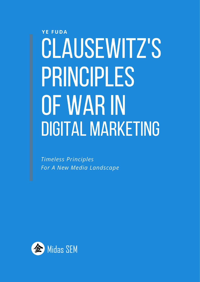## **YE FUDA** CLAUSEWITZ'S PRINCIPLES OF WAR IN **DIGITAL MARKETING**

**Timeless Principles** For A New Media Landscape

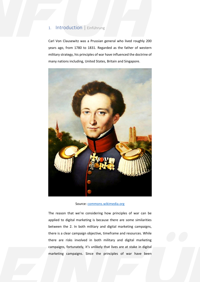#### 1. Introduction | Einführung

1. Introduction | Einführung<br>Carl Von Clausewitz was a Prussian general who lived roughly<br>years ago, from 1780 to 1831. Regarded as the father of west Carl Von Clausewitz was a Prussian general who lived roughly 200 years ago, from 1780 to 1831. Regarded as the father of western military strategy, his principles of war have influenced the doctrine of many nations including, United States, Britain and Singapore.



Source[: commons.wikimedia.org](https://commons.wikimedia.org/wiki/Carl_von_Clausewitz#/media/File:Clausewitz.jpg)

between the 2. In both military and digital marketing campaigns,<br>there is a clear campaign objective, timeframe and resources. While<br>there are risks involved in both military and digital marketing<br>campaigns, fortunately, i The reason that we're considering how principles of war can be applied to digital marketing is because there are some similarities between the 2. In both military and digital marketing campaigns, there is a clear campaign objective, timeframe and resources. While there are risks involved in both military and digital marketing campaigns, fortunately, it's unlikely that lives are at stake in digital marketing campaigns. Since the principles of war have been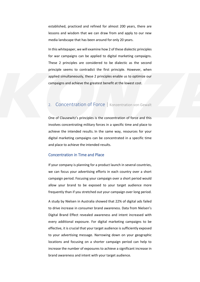established, practiced and refined for almost 200 years, there are lessons and wisdom that we can draw from and apply to our new media landscape that has been around for only 20 years.

Frow a campaigns can be applied to digital marketing campagns.<br>
These 2 principles are considered to be dialectic as the second<br>
principle seems to contradict the first principle. However, when<br>
applied simultaneously, the In this whitepaper, we will examine how 2 of these dialectic principles for war campaigns can be applied to digital marketing campaigns. These 2 principles are considered to be dialectic as the second principle seems to contradict the first principle. However, when applied simultaneously, these 2 principles enable us to optimize our campaigns and achieve the greatest benefit at the lowest cost.

#### 2. Concentration of Force | Konzentration von Gewalt

One of Clausewitz's principles is the concentration of force and this involves concentrating military forces in a specific time and place to achieve the intended results. In the same way, resources for your digital marketing campaigns can be concentrated in a specific time and place to achieve the intended results.

#### Concentration in Time and Place

achieve the intended results. In the same way, resources for your<br>digital marketing campaigns can be concentrated in a specific time<br>and place to achieve the intended results.<br>Concentration in Time and Place<br>If your compan If your company is planning for a product launch in several countries, we can focus your advertising efforts in each country over a short campaign period. Focusing your campaign over a short period would allow your brand to be exposed to your target audience more frequently than if you stretched out your campaign over long period.

to arive increase in consumer brand awareness. L<br>Digital Brand Effect revealed awareness and intervery additional exposure. For digital marketing<br>effective, it is crucial that your target audience is s<br>to your advertising A study by Nielsen in Australia showed that 22% of digital ads failed to drive increase in consumer brand awareness. Data from Nielsen's Digital Brand Effect revealed awareness and intent increased with every additional exposure. For digital marketing campaigns to be effective, it is crucial that your target audience is sufficiently exposed to your advertising message. Narrowing down on your geographic locations and focusing on a shorter campaign period can help to increase the number of exposures to achieve a significant increase in brand awareness and intent with your target audience.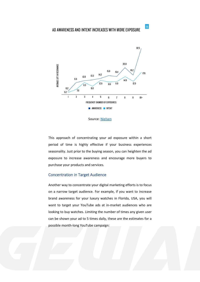#### AD AWARENESS AND INTENT INCREASES WITH MORE EXPOSURE



Source: [Nielsen](https://www.nielsen.com/au/en/insights/news/2017/how-frequency-of-exposure-can-maximise-the-resonance-of-your-digital-campaigns.html)

This approach of concentrating your ad exposure within a short period of time is highly effective if your business experiences seasonality. Just prior to the buying season, you can heighten the ad exposure to increase awareness and encourage more buyers to purchase your products and services.

#### Concentration in Target Audience

want to target your YouTube ads at in-market audiences who are<br>looking to buy watches. Limiting the number of times any given user<br>can be shown your ad to 5 times daily, these are the estimates for a<br>possible month-long Yo Another way to concentrate your digital marketing efforts is to focus on a narrow target audience. For example, if you want to increase brand awareness for your luxury watches in Florida, USA, you will want to target your YouTube ads at in-market audiences who are looking to buy watches. Limiting the number of times any given user can be shown your ad to 5 times daily, these are the estimates for a possible month-long YouTube campaign:

 $|n|$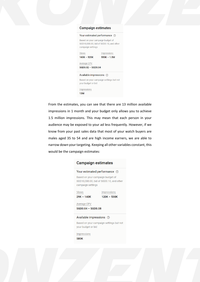| <b>Campaign estimates</b>                                                                        |  |  |
|--------------------------------------------------------------------------------------------------|--|--|
| Your estimated performance 2                                                                     |  |  |
| Based on your campaign budget of<br>SGD10,000.00, bid of SGD0.10, and other<br>campaign settings |  |  |
| Views<br>Impressions<br>$160K - 520K$<br>$550K - 1.5M$                                           |  |  |
| Average CPV<br>SGD0.02 - SGD0.04                                                                 |  |  |
| Available impressions ②                                                                          |  |  |
| Based on your campaign settings but not<br>your budget or bid                                    |  |  |
| <b>Impressions</b><br>13M                                                                        |  |  |
|                                                                                                  |  |  |
| From the estimates, you can see that there are 13 million available                              |  |  |
| impressions in 1 month and your budget only allows you to achieve                                |  |  |
| 1.5 million impressions. This may mean that each person in your                                  |  |  |

impressions in 1 month and your budget only allows you to achieve 1.5 million impressions. This may mean that each person in your audience may be exposed to your ad less frequently. However, if we know from your past sales data that most of your watch buyers are males aged 35 to 54 and are high income earners, we are able to narrow down your targeting. Keeping all other variables constant, this would be the campaign estimates:

### **Campaign estimates** Your estimated performance 2 Based on your campaign budget of SGD10,000.00, bid of SGD0.10, and other campaign settings Views Impressions  $29K - 140K$  $120K - 530K$ Average CPV SGD0.04 - SGD0.08 Available impressions 2 Based on your campaign settings but not your budget or bid<br>
Impressions<br>
SBOK<br>
SON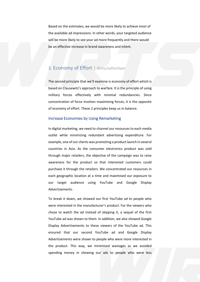Based on the estimates, we would be more likely to achieve most of<br>the available ad impressions. In other words, your targeted audience<br>will be more likely to see your ad more frequently and there would<br>be an effective inc Based on the estimates, we would be more likely to achieve most of the available ad impressions. In other words, your targeted audience will be more likely to see your ad more frequently and there would be an effective increase in brand awareness and intent.

#### 3. Economy of Effort | Wirtschaftlichkeit

The second principle that we'll examine is economy of effort which is based on Clausewitz's approach to warfare. It is the principle of using military forces effectively with minimal redundancies. Since concentration of force involves maximising forces, it is the opposite of economy of effort. These 2 principles keep us in balance.

#### Increase Economies by Using Remarketing

concentration of force involves maximising forces, it is the opposite<br>of economy of effort. These 2 principles keep us in balance.<br>Increase Economies by Using Remarketing<br>In digital marketing, we need to channel our resour In digital marketing, we need to channel our resources to each media outlet while minimizing redundant advertising expenditure. For example, one of our clients was promoting a product launch in several countries in Asia. As the consumer electronics product was sold through major retailers, the objective of the campaign was to raise awareness for the product so that interested customers could purchase it through the retailers. We concentrated our resources in each geographic location at a time and maximised our exposure to our target audience using YouTube and Google Display Advertisements.

our target audience<br>Advertisements.<br>To break it down, we s<br>were interested in the r<br>chose to watch the ad<br>YouTube ad was shown<br>Display Advertisements<br>ensured that our se<br>Advertisements were sh<br>the product. This way<br>spendin to these viewers of the YouTube ad. This<br>cond YouTube ad and Google Display<br>wwn to people who were more interested in<br>we minimised wastages as we avoided<br>wing our ads to people who were less To break it down, we showed our first YouTube ad to people who were interested in the manufacturer's product. For the viewers who chose to watch the ad instead of skipping it, a sequel of the first YouTube ad was shown to them. In addition, we also showed Google Display Advertisements to these viewers of the YouTube ad. This ensured that our second YouTube ad and Google Display Advertisements were shown to people who were more interested in the product. This way, we minimised wastages as we avoided spending money in showing our ads to people who were less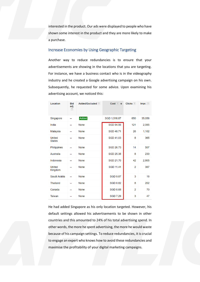interested in the product. Our ads we<br>shown some interest in the product a<br>a purchase.<br>Increase Economies by Using Ge interested in the product. Our ads were displayed to people who have shown some interest in the product and they are more likely to make a purchase.

#### Increase Economies by Using Geographic Targeting

Another way to reduce redundancies is to ensure that your advertisements are showing in the locations that you are targeting. For instance, we have a business contact who is in the videography industry and he created a Google advertising campaign on his own. Subsequently, he requested for some advice. Upon examining his advertising account, we noticed this:

| Location                       | <b>Bid</b><br>adj.<br> ? | Added/Excluded ? | Cost $?$ $\downarrow$ | Clicks <sup>?</sup> | $Impr.$ ? |
|--------------------------------|--------------------------|------------------|-----------------------|---------------------|-----------|
| Singapore                      |                          | <b>Added</b>     | SGD 1,516.87          | 650                 | 35,056    |
| India                          |                          | <b>None</b>      | <b>SGD 94.56</b>      | 121                 | 2,085     |
| Malaysia                       |                          | <b>None</b>      | <b>SGD 48.71</b>      | 26                  | 1,102     |
| <b>United</b><br><b>States</b> |                          | <b>None</b>      | <b>SGD 41.03</b>      | 8                   | 365       |
| Philippines                    |                          | <b>None</b>      | <b>SGD 26.73</b>      | 14                  | 507       |
| Australia                      |                          | <b>None</b>      | <b>SGD 25.38</b>      | 8                   | 230       |
| Indonesia                      |                          | <b>None</b>      | <b>SGD 21.70</b>      | 42                  | 2,805     |
| <b>United</b><br>Kingdom       |                          | <b>None</b>      | <b>SGD 11.41</b>      | $\overline{2}$      | 387       |
| Saudi Arabia                   |                          | <b>None</b>      | <b>SGD 9.87</b>       | 3                   | 18        |
| <b>Thailand</b>                |                          | <b>None</b>      | <b>SGD 8.82</b>       | 8                   | 202       |
| Canada                         |                          | <b>None</b>      | <b>SGD 8.68</b>       | $\overline{2}$      | 70        |
| <b>Taiwan</b>                  |                          | <b>None</b>      | <b>SGD 7.29</b>       | 3                   | 47        |

He had added Singapore as his only location targeted. However, his<br>default settings allowed his advertisements to be shown in other<br>countries and this amounted to 24% of his total advertising spend. In<br>other words, the mor He had added Singapore as his only location targeted. However, his default settings allowed his advertisements to be shown in other countries and this amounted to 24% of his total advertising spend. In other words, the more he spent advertising, the more he would waste because of his campaign settings. To reduce redundancies, it is crucial to engage an expert who knows how to avoid these redundancies and maximise the profitability of your digital marketing campaigns.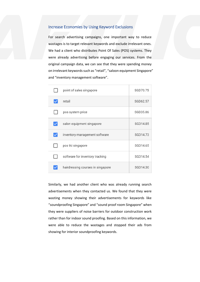#### Increase Economies by Using Keyword Exclusions

Increase Economies by Using Keyword Exclusions<br>For search advertising campaigns, one important way to reduce<br>wastages is to target relevant keywords and exclude irrelevant ones.<br>We had a client who distributes Point Of Sal For search advertising campaigns, one important way to reduce wastages is to target relevant keywords and exclude irrelevant ones. We had a client who distributes Point Of Sales (POS) systems. They were already advertising before engaging our services. From the original campaign data, we can see that they were spending money on irrelevant keywords such as "retail", "saloon equipment Singapore" and "inventory management software".

| point of sales singapore          | SGD70.75 |
|-----------------------------------|----------|
| retail                            | SGD62.57 |
| pos system price                  | SGD35.86 |
| salon equipment singapore         | SGD14.85 |
| inventory management software     | SGD14.73 |
| pos tki singapore                 | SGD14.65 |
| software for inventory tracking   | SGD14.54 |
| hairdressing courses in singapore | SGD14.30 |

Similarly, we had another client who was already running search advertisements when they contacted us. We found that they were wasting money showing their advertisements for keywords like "soundproofing Singapore" and "sound proof room Singapore" when they were suppliers of noise barriers for outdoor construction work rather than for indoor sound proofing. Based on this information, we were able to reduce the wastages and stopped their ads from showing for interior soundproofing keywords.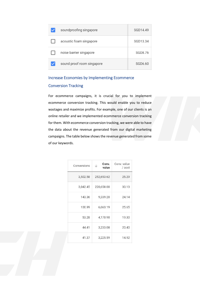| soundproofing singapore    | SGD14.49 |
|----------------------------|----------|
| acoustic foam singapore    | SGD13.34 |
| noise barrier singapore    | SGD8.76  |
| sound proof room singapore | SGD6.60  |

#### Increase Economies by Implementing Ecommerce Conversion Tracking

is crucial for you to implement<br>
Solution to implement<br>
For example, one of our clients is an<br>
sted ecommerce conversion tracking<br>
persion tracking, we were able to have<br>
nerated from our digital marketing<br>
ws the revenue For ecommerce campaigns, it is crucial for you to implement ecommerce conversion tracking. This would enable you to reduce wastages and maximize profits. For example, one of our clients is an online retailer and we implemented ecommerce conversion tracking for them. With ecommerce conversion tracking, we were able to have the data about the revenue generated from our digital marketing campaigns. The table below shows the revenue generated from some of our keywords.

| 3,502.58 252,653.62<br><u> 1989 - John Barn Barn, mars a</u><br>the company's company's property<br>3,042.45 220,658.00 30.13<br>143.36 9,339.20<br>the control of the control of the con-<br>100.99 6,663.19 25.65<br>the control of the control of the con-<br>53.28 4,170.90 19.30<br>44.41 3,233.08<br>the contract of the contract of the contract of the contract of the contract of |
|--------------------------------------------------------------------------------------------------------------------------------------------------------------------------------------------------------------------------------------------------------------------------------------------------------------------------------------------------------------------------------------------|
|                                                                                                                                                                                                                                                                                                                                                                                            |
|                                                                                                                                                                                                                                                                                                                                                                                            |
|                                                                                                                                                                                                                                                                                                                                                                                            |
|                                                                                                                                                                                                                                                                                                                                                                                            |
|                                                                                                                                                                                                                                                                                                                                                                                            |
|                                                                                                                                                                                                                                                                                                                                                                                            |
| 41.37 3,225.59 14.92                                                                                                                                                                                                                                                                                                                                                                       |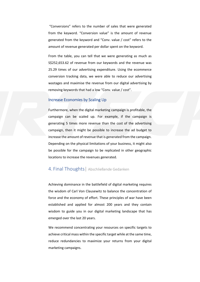"Conversions" refers to the number of sales that were generated from the keyword. "Conversion value" is the amount of revenue generated from the keyword and "Conv. value / cost" refers to the amount of revenue generated per dollar spent on the keyword.

From the table, you can tell that we were generating as much as S\$252,653.62 of revenue from our keywords and the revenue was 25.29 times of our advertising expenditure. Using the ecommerce conversion tracking data, we were able to reduce our advertising wastages and maximise the revenue from our digital advertising by removing keywords that had a low "Conv. value / cost".

#### Increase Economies by Scaling Up

25.29 times of our advertising expenditure. Using the ecommerce<br>conversion tracking data, we were able to reduce our advertising<br>wastages and maximise the revenue from our digital advertising by<br>removing keywords that had Furthermore, when the digital marketing campaign is profitable, the campaign can be scaled up. For example, if the campaign is generating 5 times more revenue than the cost of the advertising campaign, then it might be possible to increase the ad budget to increase the amount of revenue that is generated from the campaign. Depending on the physical limitations of your business, it might also be possible for the campaign to be replicated in other geographic locations to increase the revenues generated.

#### 4. Final Thoughts| Abschließende Gedanken

be possible for the campaign to be replicated in other geographic<br>locations to increase the revenues generated.<br>4. Final Thoughts | Abschließende Gedanken<br>Achieving dominance in the battlefield of digital marketing require Achieving dominance in the battlefield of digital marketing requires the wisdom of Carl Von Clausewitz to balance the concentration of force and the economy of effort. These principles of war have been established and applied for almost 200 years and they contain wisdom to guide you in our digital marketing landscape that has emerged over the last 20 years.

We recommend concentrating your resources on specific targets to achieve critical mass within the specific target while at the same time, reduce redundancies to maximize your returns from your digital marketing campaigns.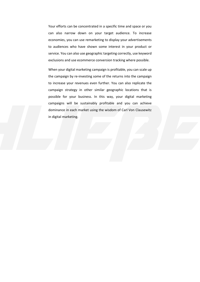Your efforts can be concentrated in a specific time and space or you can also narrow down on your target audience. To increase economies, you can use remarketing to display your advertisements to audiences who have shown some interest in your product or service. You can also use geographic targeting correctly, use keyword exclusions and use ecommerce conversion tracking where possible.

to increase your revenues even further. You can also replicate the<br>campaign strategy in other similar geographic locations that is<br>possible for your business. In this way, your digital marketing<br>campaigns will be sustainab When your digital marketing campaign is profitable, you can scale up the campaign by re-investing some of the returns into the campaign to increase your revenues even further. You can also replicate the campaign strategy in other similar geographic locations that is possible for your business. In this way, your digital marketing campaigns will be sustainably profitable and you can achieve dominance in each market using the wisdom of Carl Von Clausewitz in digital marketing.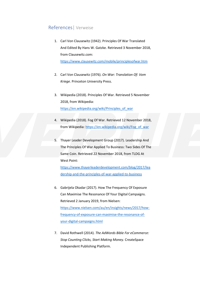#### References| Verweise

- 1. Carl Von Clausewitz (1942). Principles Of War Translated And Edited By Hans W. Gatzke. Retrieved 3 November 2018, from Clausewitz.com: <https://www.clausewitz.com/mobile/principlesofwar.htm>
- 2. Carl Von Clausewitz (1976). *On War: Translation Of: Vom Kriege*. Princeton University Press.
- 3. Wikipedia (2018). Principles Of War. Retrieved 5 November 2018, from Wikipedia: https://en.wikipedia.org/wiki/Principles\_of\_war
- 4. Wikipedia (2018). Fog Of War. Retrieved 12 November 2018, from Wikipedia: https://en.wikipedia.org/wiki/Fog\_of\_war
- 3. Wikipedia (2018). Principles Of War. Retrieved 5 Novemb[er](https://en.wikipedia.org/wiki/Principles_of_war)<br>2018, from Wikipedia.org/[w](https://www.thayerleaderdevelopment.com/blog/2017/leadership-and-the-principles-of-war-applied-to-business)iki/Principles of war<br>https://en.wikipedia.org/wiki/Principles of war<br>4. Wikipedia: <u>https://en.wikipedia.org/wiki/Fog</u> of war<br>5. Thaye 5. Thayer Leader Development Group (2017). Leadership And The Principles Of War Applied To Business: Two Sides Of The Same Coin. Retrieved 22 November 2018, from TLDG At West Point:

https://www.thayerleaderdevelopment.com/blog/2017/lea [dership-and-the-principles-of-war-applied-to-business](https://www.thayerleaderdevelopment.com/blog/2017/leadership-and-the-principles-of-war-applied-to-business)

- 6. Gabrijela Okadar (2017). How The Frequency Of Exposure Can Maximise The Resonance Of Your Digital Campaigns. Retrieved 2 January 2019, from Nielsen: [https://www.nielsen.com/au/en/insights/news/2017/how](https://www.nielsen.com/au/en/insights/news/2017/how-frequency-of-exposure-can-maximise-the-resonance-of-your-digital-campaigns.html)[frequency-of-exposure-can-maximise-the-resonance-of](https://www.nielsen.com/au/en/insights/news/2017/how-frequency-of-exposure-can-maximise-the-resonance-of-your-digital-campaigns.html)[your-digital-campaigns.html](https://www.nielsen.com/au/en/insights/news/2017/how-frequency-of-exposure-can-maximise-the-resonance-of-your-digital-campaigns.html)
- 7. David Rothwell (2014). *The AdWords Bible For eCommerce: Stop Counting Clicks, Start Making Money.* CreateSpace Independent Publishing Platform.